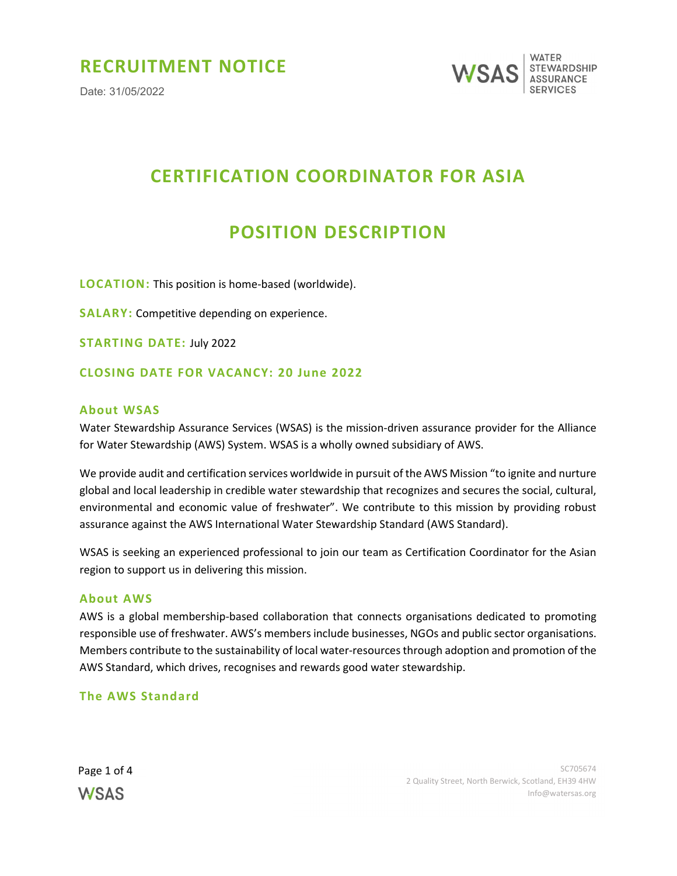## RECRUITMENT NOTICE

Date: 31/05/2022



# CERTIFICATION COORDINATOR FOR ASIA

## POSITION DESCRIPTION

LOCATION: This position is home-based (worldwide).

SALARY: Competitive depending on experience.

STARTING DATE: July 2022

#### CLOSING DATE FOR VACANCY: 20 June 2022

#### About WSAS

Water Stewardship Assurance Services (WSAS) is the mission-driven assurance provider for the Alliance for Water Stewardship (AWS) System. WSAS is a wholly owned subsidiary of AWS.

We provide audit and certification services worldwide in pursuit of the AWS Mission "to ignite and nurture global and local leadership in credible water stewardship that recognizes and secures the social, cultural, environmental and economic value of freshwater". We contribute to this mission by providing robust assurance against the AWS International Water Stewardship Standard (AWS Standard).

WSAS is seeking an experienced professional to join our team as Certification Coordinator for the Asian region to support us in delivering this mission.

#### About AWS

AWS is a global membership-based collaboration that connects organisations dedicated to promoting responsible use of freshwater. AWS's members include businesses, NGOs and public sector organisations. Members contribute to the sustainability of local water-resources through adoption and promotion of the AWS Standard, which drives, recognises and rewards good water stewardship.

#### The AWS Standard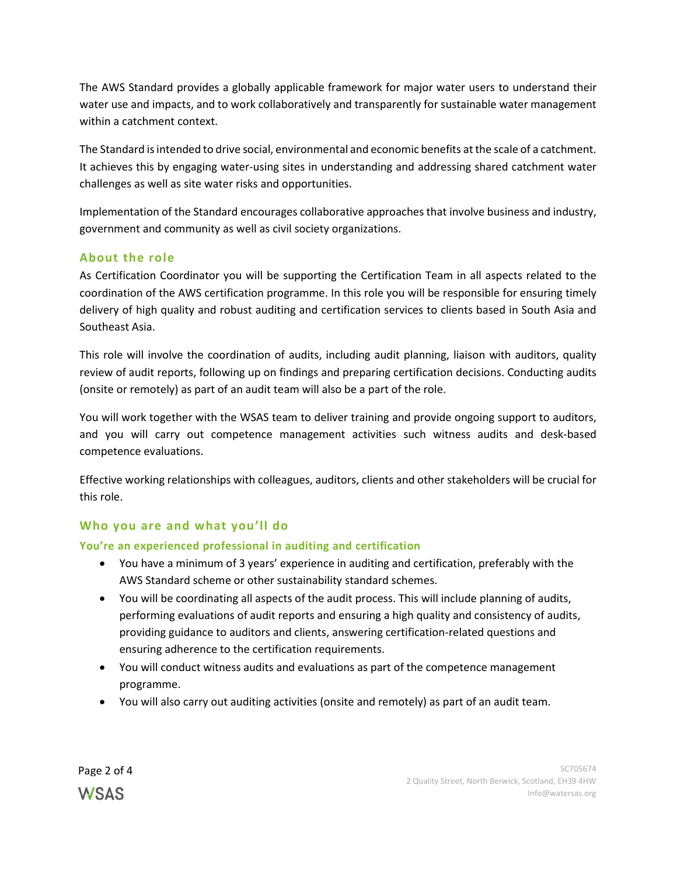The AWS Standard provides a globally applicable framework for major water users to understand their water use and impacts, and to work collaboratively and transparently for sustainable water management within a catchment context.

The Standard is intended to drive social, environmental and economic benefits at the scale of a catchment. It achieves this by engaging water-using sites in understanding and addressing shared catchment water challenges as well as site water risks and opportunities.

Implementation of the Standard encourages collaborative approaches that involve business and industry, government and community as well as civil society organizations.

## About the role

As Certification Coordinator you will be supporting the Certification Team in all aspects related to the coordination of the AWS certification programme. In this role you will be responsible for ensuring timely delivery of high quality and robust auditing and certification services to clients based in South Asia and Southeast Asia.

This role will involve the coordination of audits, including audit planning, liaison with auditors, quality review of audit reports, following up on findings and preparing certification decisions. Conducting audits (onsite or remotely) as part of an audit team will also be a part of the role.

You will work together with the WSAS team to deliver training and provide ongoing support to auditors, and you will carry out competence management activities such witness audits and desk-based competence evaluations.

Effective working relationships with colleagues, auditors, clients and other stakeholders will be crucial for this role.

## Who you are and what you'll do

## You're an experienced professional in auditing and certification

- You have a minimum of 3 years' experience in auditing and certification, preferably with the AWS Standard scheme or other sustainability standard schemes.
- You will be coordinating all aspects of the audit process. This will include planning of audits, performing evaluations of audit reports and ensuring a high quality and consistency of audits, providing guidance to auditors and clients, answering certification-related questions and ensuring adherence to the certification requirements.
- You will conduct witness audits and evaluations as part of the competence management programme.
- You will also carry out auditing activities (onsite and remotely) as part of an audit team.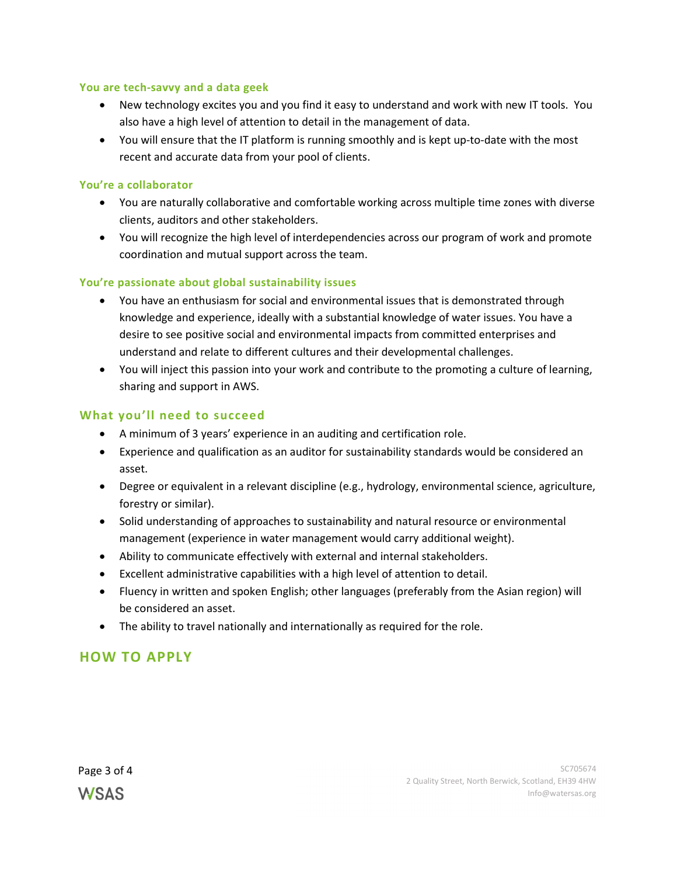#### You are tech-savvy and a data geek

- New technology excites you and you find it easy to understand and work with new IT tools. You also have a high level of attention to detail in the management of data.
- You will ensure that the IT platform is running smoothly and is kept up-to-date with the most recent and accurate data from your pool of clients.

#### You're a collaborator

- You are naturally collaborative and comfortable working across multiple time zones with diverse clients, auditors and other stakeholders.
- You will recognize the high level of interdependencies across our program of work and promote coordination and mutual support across the team.

### You're passionate about global sustainability issues

- You have an enthusiasm for social and environmental issues that is demonstrated through knowledge and experience, ideally with a substantial knowledge of water issues. You have a desire to see positive social and environmental impacts from committed enterprises and understand and relate to different cultures and their developmental challenges.
- You will inject this passion into your work and contribute to the promoting a culture of learning, sharing and support in AWS.

### What you'll need to succeed

- A minimum of 3 years' experience in an auditing and certification role.
- Experience and qualification as an auditor for sustainability standards would be considered an asset.
- Degree or equivalent in a relevant discipline (e.g., hydrology, environmental science, agriculture, forestry or similar).
- Solid understanding of approaches to sustainability and natural resource or environmental management (experience in water management would carry additional weight).
- Ability to communicate effectively with external and internal stakeholders.
- Excellent administrative capabilities with a high level of attention to detail.
- Fluency in written and spoken English; other languages (preferably from the Asian region) will be considered an asset.
- The ability to travel nationally and internationally as required for the role.

## HOW TO APPLY